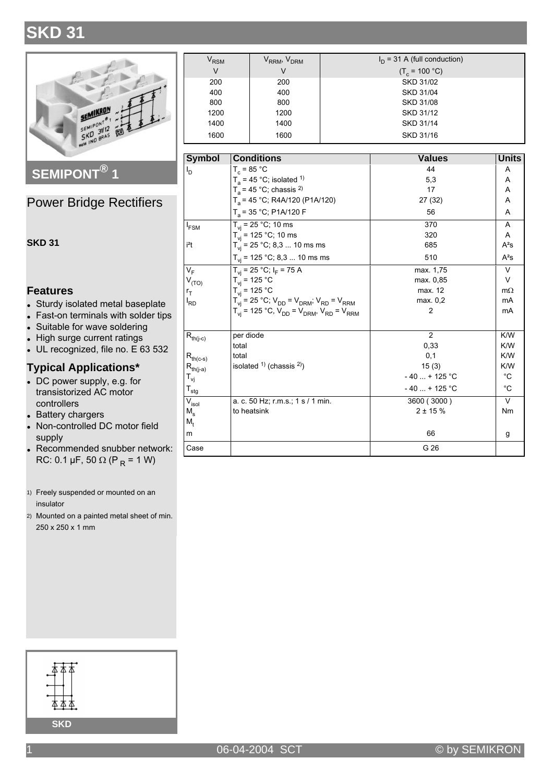# **SKD 31**



SEMIPONT<sup>®</sup>1

### **Power Bridge Rectifiers**

#### **SKD 31**

#### **Features**

- Sturdy isolated metal baseplate
- Fast-on terminals with solder tips
- Suitable for wave soldering
- High surge current ratings
- UL recognized, file no. E 63 532

#### **Typical Applications\***

- DC power supply, e.g. for transistorized AC motor controllers
- Battery chargers
- Non-controlled DC motor field supply
- Recommended snubber network: RC: 0.1 µF, 50  $\Omega$  (P<sub>R</sub> = 1 W)
- 1) Freely suspended or mounted on an insulator
- 2) Mounted on a painted metal sheet of min. 250 x 250 x 1 mm

| $\bm{{\mathsf{V}}}_{\mathsf{RSM}}$ | V <sub>RRM</sub> , V <sub>DRM</sub> | $I_D$ = 31 A (full conduction) |
|------------------------------------|-------------------------------------|--------------------------------|
| V                                  | V                                   | $(T_c = 100 °C)$               |
| 200                                | 200                                 | <b>SKD 31/02</b>               |
| 400                                | 400                                 | SKD 31/04                      |
| 800                                | 800                                 | <b>SKD 31/08</b>               |
| 1200                               | 1200                                | SKD 31/12                      |
| 1400                               | 1400                                | SKD 31/14                      |
| 1600                               | 1600                                | SKD 31/16                      |

| <b>Symbol</b>                          | <b>Conditions</b>                                              | <b>Values</b>  | Units       |
|----------------------------------------|----------------------------------------------------------------|----------------|-------------|
| ı <sub>d</sub>                         | $T_c = 85 °C$                                                  | 44             | A           |
|                                        | $T_a$ = 45 °C; isolated <sup>1)</sup>                          | 5,3            | A           |
|                                        | $T_a$ = 45 °C; chassis <sup>2)</sup>                           | 17             | A           |
|                                        | $T_a$ = 45 °C; R4A/120 (P1A/120)                               | 27 (32)        | A           |
|                                        | $T_a$ = 35 °C; P1A/120 F                                       | 56             | A           |
| $I_{FSM}$                              | $T_{vi}$ = 25 °C; 10 ms                                        | 370            | A           |
|                                        | $T_{vi}$ = 125 °C; 10 ms                                       | 320            | A           |
| i <sup>2</sup> t                       | $T_{vi}$ = 25 °C; 8,3  10 ms ms                                | 685            | $A^2S$      |
|                                        | $T_{vi}$ = 125 °C; 8,3  10 ms ms                               | 510            | $A^2S$      |
| $V_F$                                  | $T_{vi}$ = 25 °C; $I_F$ = 75 A                                 | max. 1,75      | $\vee$      |
| $V_{(TO)}$                             | $T_{\rm vi}$ = 125 °C                                          | max. 0.85      | $\vee$      |
| $r_T$                                  | $T_{vi} = 125 °C$                                              | max. 12        | $m\Omega$   |
| <sup>I</sup> RD                        | $T_{vi} = 25 °C$ ; $V_{DD} = V_{DRM}$ ; $V_{RD} = V_{RRM}$     | max. 0.2       | mA          |
|                                        | $T_{vi}$ = 125 °C, $V_{DD}$ = $V_{DRM}$ , $V_{RD}$ = $V_{RRM}$ | 2              | mA          |
| $\mathsf{R}_{\mathsf{th}(j\text{-}c)}$ | per diode                                                      | 2              | K/W         |
|                                        | total                                                          | 0.33           | K/W         |
| $R_{th(c-s)}$                          | total                                                          | 0,1            | K/W         |
| $R_{th(j-a)}$                          | isolated $(1)$ (chassis $(2)$ )                                | 15(3)          | K/W         |
| $\mathsf{T}_{\mathsf{vj}}$             |                                                                | $-40$ + 125 °C | $^{\circ}C$ |
| $\mathsf{T}_{\mathsf{stg}}$            |                                                                | $-40$ + 125 °C | $^{\circ}C$ |
| V <sub>isol</sub>                      | a. c. 50 Hz; $r.m.s.: 1 s / 1 min.$                            | 3600 (3000)    | $\vee$      |
| $M_{\rm s}$                            | to heatsink                                                    | $2 + 15%$      | <b>Nm</b>   |
| M,                                     |                                                                |                |             |
| m                                      |                                                                | 66             | g           |
| Case                                   |                                                                | G 26           |             |

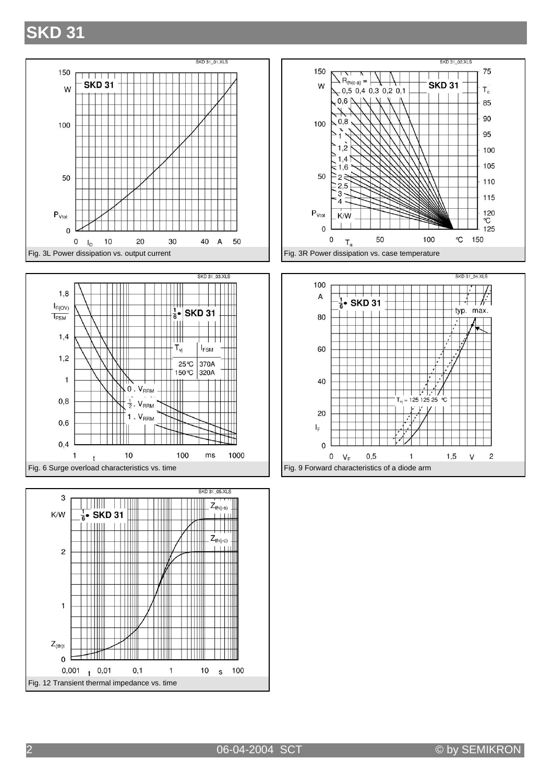### **SKD 31**